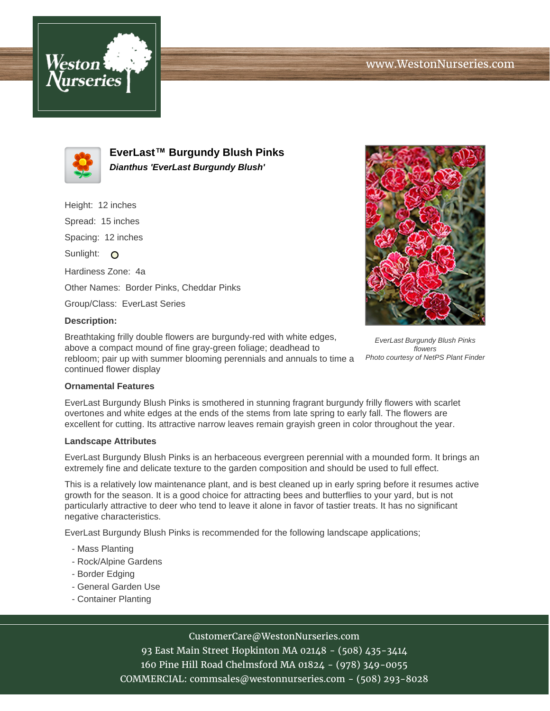



**EverLast™ Burgundy Blush Pinks Dianthus 'EverLast Burgundy Blush'**

Height: 12 inches

Spread: 15 inches

Spacing: 12 inches

Sunlight: O

Hardiness Zone: 4a

Other Names: Border Pinks, Cheddar Pinks

Group/Class: EverLast Series

# **Description:**

Breathtaking frilly double flowers are burgundy-red with white edges, above a compact mound of fine gray-green foliage; deadhead to rebloom; pair up with summer blooming perennials and annuals to time a continued flower display



EverLast Burgundy Blush Pinks flowers Photo courtesy of NetPS Plant Finder

### **Ornamental Features**

EverLast Burgundy Blush Pinks is smothered in stunning fragrant burgundy frilly flowers with scarlet overtones and white edges at the ends of the stems from late spring to early fall. The flowers are excellent for cutting. Its attractive narrow leaves remain grayish green in color throughout the year.

### **Landscape Attributes**

EverLast Burgundy Blush Pinks is an herbaceous evergreen perennial with a mounded form. It brings an extremely fine and delicate texture to the garden composition and should be used to full effect.

This is a relatively low maintenance plant, and is best cleaned up in early spring before it resumes active growth for the season. It is a good choice for attracting bees and butterflies to your yard, but is not particularly attractive to deer who tend to leave it alone in favor of tastier treats. It has no significant negative characteristics.

EverLast Burgundy Blush Pinks is recommended for the following landscape applications;

- Mass Planting
- Rock/Alpine Gardens
- Border Edging
- General Garden Use
- Container Planting

# CustomerCare@WestonNurseries.com

93 East Main Street Hopkinton MA 02148 - (508) 435-3414 160 Pine Hill Road Chelmsford MA 01824 - (978) 349-0055 COMMERCIAL: commsales@westonnurseries.com - (508) 293-8028